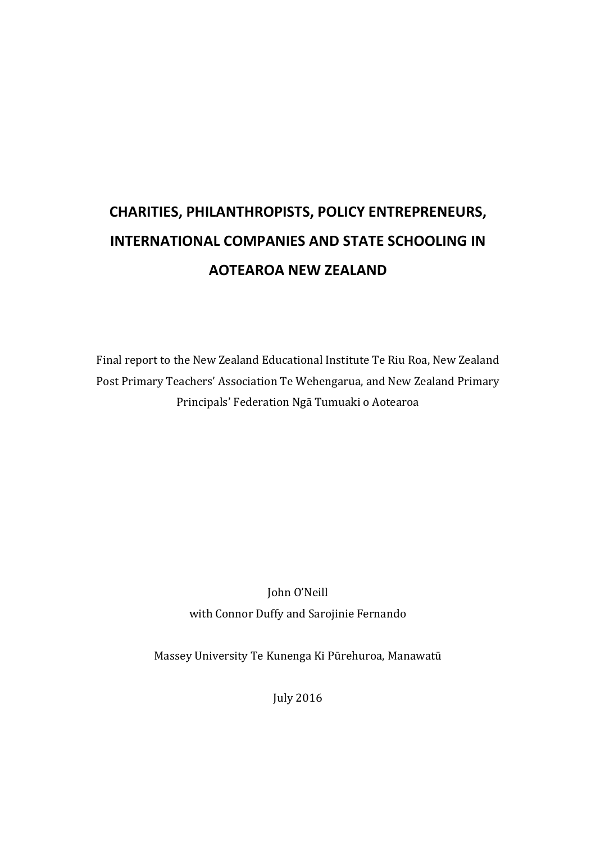## **CHARITIES, PHILANTHROPISTS, POLICY ENTREPRENEURS, INTERNATIONAL COMPANIES AND STATE SCHOOLING IN AOTEAROA NEW ZEALAND**

Final report to the New Zealand Educational Institute Te Riu Roa, New Zealand Post Primary Teachers' Association Te Wehengarua, and New Zealand Primary Principals' Federation Ngā Tumuaki o Aotearoa

> John O'Neill with Connor Duffy and Sarojinie Fernando

Massey University Te Kunenga Ki Pūrehuroa, Manawatū

July 2016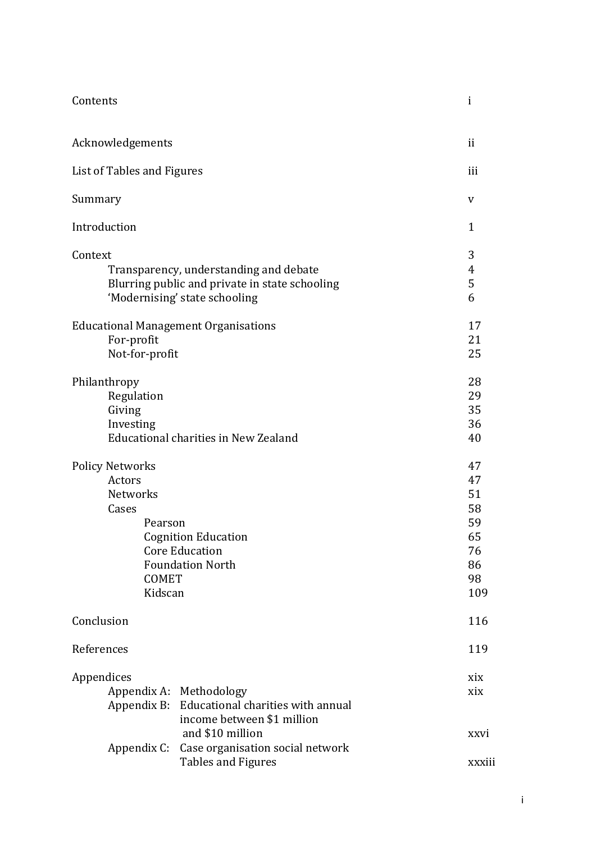| Contents                                                                                                                             |                                                                                                        | $\mathbf{i}$                                              |
|--------------------------------------------------------------------------------------------------------------------------------------|--------------------------------------------------------------------------------------------------------|-----------------------------------------------------------|
| Acknowledgements                                                                                                                     | ii                                                                                                     |                                                           |
| List of Tables and Figures                                                                                                           |                                                                                                        | iii                                                       |
| Summary                                                                                                                              |                                                                                                        | V                                                         |
| Introduction                                                                                                                         |                                                                                                        | $\mathbf{1}$                                              |
| Context<br>Transparency, understanding and debate<br>Blurring public and private in state schooling<br>'Modernising' state schooling |                                                                                                        |                                                           |
| <b>Educational Management Organisations</b><br>For-profit<br>Not-for-profit                                                          |                                                                                                        | 17<br>21<br>25                                            |
| Philanthropy<br>Regulation<br>Giving<br>Investing<br>Educational charities in New Zealand                                            |                                                                                                        | 28<br>29<br>35<br>36<br>40                                |
| <b>Policy Networks</b><br>Actors<br>Networks<br>Cases<br>Pearson<br><b>COMET</b><br>Kidscan                                          | <b>Cognition Education</b><br><b>Core Education</b><br><b>Foundation North</b>                         | 47<br>47<br>51<br>58<br>59<br>65<br>76<br>86<br>98<br>109 |
| Conclusion                                                                                                                           |                                                                                                        | 116                                                       |
| References                                                                                                                           |                                                                                                        | 119                                                       |
| Appendices                                                                                                                           | Appendix A: Methodology<br>Appendix B: Educational charities with annual<br>income between \$1 million | xix<br>xix                                                |
|                                                                                                                                      | and \$10 million<br>Appendix C: Case organisation social network<br><b>Tables and Figures</b>          | xxvi<br>xxxiii                                            |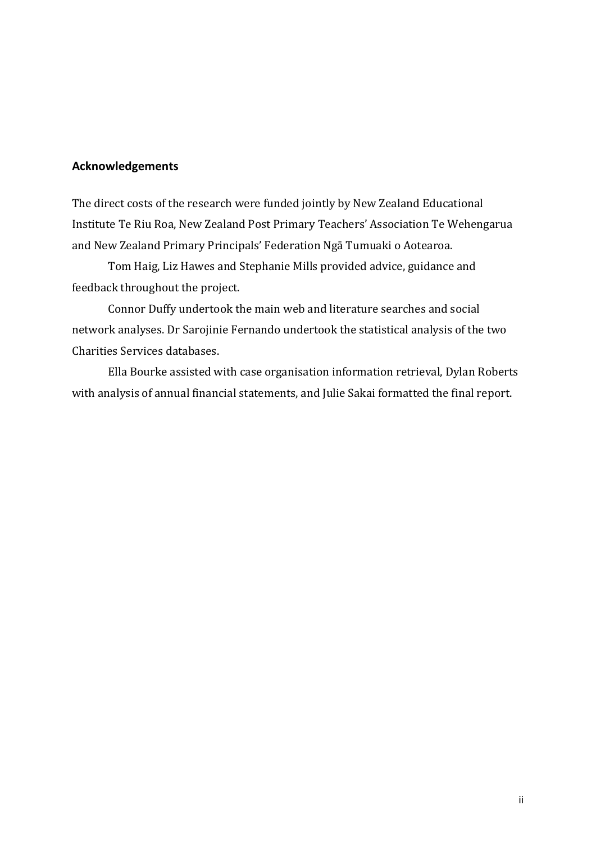## **Acknowledgements**

The direct costs of the research were funded jointly by New Zealand Educational Institute Te Riu Roa, New Zealand Post Primary Teachers' Association Te Wehengarua and New Zealand Primary Principals' Federation Ngā Tumuaki o Aotearoa.

Tom Haig, Liz Hawes and Stephanie Mills provided advice, guidance and feedback throughout the project.

Connor Duffy undertook the main web and literature searches and social network analyses. Dr Sarojinie Fernando undertook the statistical analysis of the two Charities Services databases.

Ella Bourke assisted with case organisation information retrieval, Dylan Roberts with analysis of annual financial statements, and Julie Sakai formatted the final report.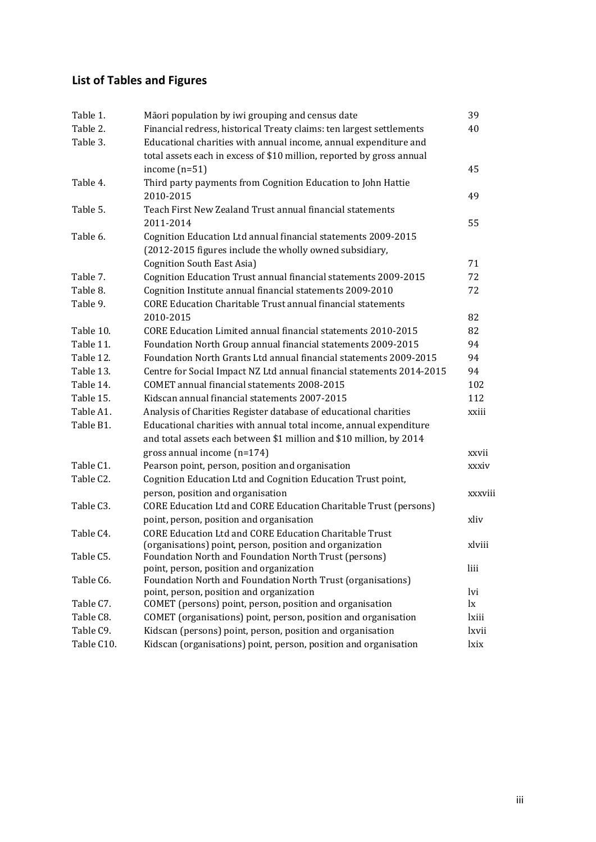## **List of Tables and Figures**

| Table 1.   | Māori population by iwi grouping and census date                                                        | 39           |
|------------|---------------------------------------------------------------------------------------------------------|--------------|
| Table 2.   | Financial redress, historical Treaty claims: ten largest settlements                                    | 40           |
| Table 3.   | Educational charities with annual income, annual expenditure and                                        |              |
|            | total assets each in excess of \$10 million, reported by gross annual                                   |              |
|            | income $(n=51)$                                                                                         | 45           |
| Table 4.   | Third party payments from Cognition Education to John Hattie                                            |              |
|            | 2010-2015                                                                                               | 49           |
| Table 5.   | Teach First New Zealand Trust annual financial statements                                               |              |
|            | 2011-2014                                                                                               | 55           |
| Table 6.   | Cognition Education Ltd annual financial statements 2009-2015                                           |              |
|            | (2012-2015 figures include the wholly owned subsidiary,                                                 |              |
|            | Cognition South East Asia)                                                                              | 71           |
| Table 7.   | Cognition Education Trust annual financial statements 2009-2015                                         | 72           |
| Table 8.   | Cognition Institute annual financial statements 2009-2010                                               | 72           |
| Table 9.   | <b>CORE Education Charitable Trust annual financial statements</b>                                      |              |
|            | 2010-2015                                                                                               | 82           |
| Table 10.  | CORE Education Limited annual financial statements 2010-2015                                            | 82           |
| Table 11.  | Foundation North Group annual financial statements 2009-2015                                            | 94           |
| Table 12.  | Foundation North Grants Ltd annual financial statements 2009-2015                                       | 94           |
| Table 13.  | Centre for Social Impact NZ Ltd annual financial statements 2014-2015                                   | 94           |
| Table 14.  | COMET annual financial statements 2008-2015                                                             | 102          |
| Table 15.  | Kidscan annual financial statements 2007-2015                                                           | 112          |
| Table A1.  | Analysis of Charities Register database of educational charities                                        | xxiii        |
| Table B1.  | Educational charities with annual total income, annual expenditure                                      |              |
|            | and total assets each between \$1 million and \$10 million, by 2014                                     |              |
|            | gross annual income $(n=174)$                                                                           | xxvii        |
| Table C1.  | Pearson point, person, position and organisation                                                        | xxxiv        |
| Table C2.  | Cognition Education Ltd and Cognition Education Trust point,                                            |              |
|            | person, position and organisation                                                                       | xxxviii      |
| Table C3.  | CORE Education Ltd and CORE Education Charitable Trust (persons)                                        |              |
|            | point, person, position and organisation                                                                | xliv         |
| Table C4.  | <b>CORE Education Ltd and CORE Education Charitable Trust</b>                                           |              |
|            | (organisations) point, person, position and organization                                                | xlviii       |
| Table C5.  | Foundation North and Foundation North Trust (persons)                                                   |              |
|            | point, person, position and organization                                                                | liii         |
| Table C6.  | Foundation North and Foundation North Trust (organisations)<br>point, person, position and organization | lvi          |
| Table C7.  | COMET (persons) point, person, position and organisation                                                | $\mathbf{I}$ |
| Table C8.  | COMET (organisations) point, person, position and organisation                                          | lxiii        |
| Table C9.  | Kidscan (persons) point, person, position and organisation                                              | lxvii        |
| Table C10. | Kidscan (organisations) point, person, position and organisation                                        | lxix         |
|            |                                                                                                         |              |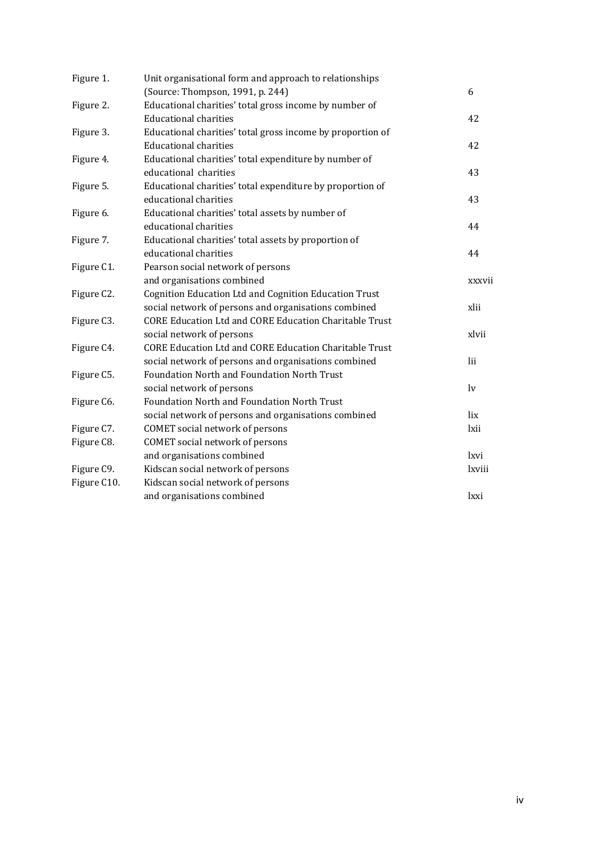| Figure 1.   | Unit organisational form and approach to relationships        |              |
|-------------|---------------------------------------------------------------|--------------|
|             | (Source: Thompson, 1991, p. 244)                              | 6            |
| Figure 2.   | Educational charities' total gross income by number of        |              |
|             | <b>Educational charities</b>                                  | 42           |
| Figure 3.   | Educational charities' total gross income by proportion of    |              |
|             | <b>Educational charities</b>                                  | 42           |
| Figure 4.   | Educational charities' total expenditure by number of         |              |
|             | educational charities                                         | 43           |
| Figure 5.   | Educational charities' total expenditure by proportion of     |              |
|             | educational charities                                         | 43           |
| Figure 6.   | Educational charities' total assets by number of              |              |
|             | educational charities                                         | 44           |
| Figure 7.   | Educational charities' total assets by proportion of          |              |
|             | educational charities                                         | 44           |
| Figure C1.  | Pearson social network of persons                             |              |
|             | and organisations combined                                    | xxxvii       |
| Figure C2.  | Cognition Education Ltd and Cognition Education Trust         |              |
|             | social network of persons and organisations combined          | xlii         |
| Figure C3.  | <b>CORE Education Ltd and CORE Education Charitable Trust</b> |              |
|             | social network of persons                                     | xlvii        |
| Figure C4.  | <b>CORE Education Ltd and CORE Education Charitable Trust</b> |              |
|             | social network of persons and organisations combined          | lii          |
| Figure C5.  | Foundation North and Foundation North Trust                   |              |
|             | social network of persons                                     | $\mathbf{v}$ |
| Figure C6.  | Foundation North and Foundation North Trust                   |              |
|             | social network of persons and organisations combined          | lix          |
| Figure C7.  | COMET social network of persons                               | lxii         |
| Figure C8.  | <b>COMET</b> social network of persons                        |              |
|             | and organisations combined                                    | lxvi         |
| Figure C9.  | Kidscan social network of persons                             | lxviii       |
| Figure C10. | Kidscan social network of persons                             |              |
|             | and organisations combined                                    | lxxi         |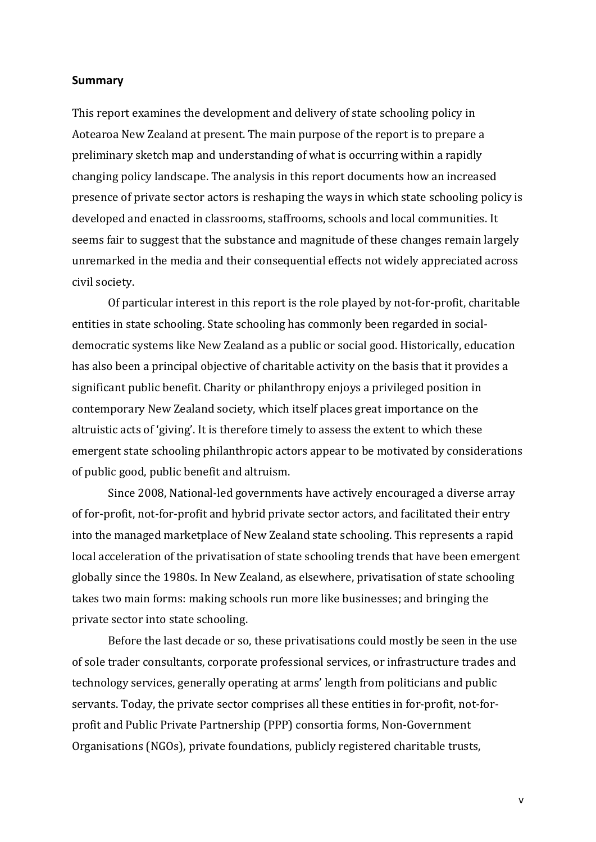## **Summary**

This report examines the development and delivery of state schooling policy in Aotearoa New Zealand at present. The main purpose of the report is to prepare a preliminary sketch map and understanding of what is occurring within a rapidly changing policy landscape. The analysis in this report documents how an increased presence of private sector actors is reshaping the ways in which state schooling policy is developed and enacted in classrooms, staffrooms, schools and local communities. It seems fair to suggest that the substance and magnitude of these changes remain largely unremarked in the media and their consequential effects not widely appreciated across civil society.

Of particular interest in this report is the role played by not-for-profit, charitable entities in state schooling. State schooling has commonly been regarded in socialdemocratic systems like New Zealand as a public or social good. Historically, education has also been a principal objective of charitable activity on the basis that it provides a significant public benefit. Charity or philanthropy enjoys a privileged position in contemporary New Zealand society, which itself places great importance on the altruistic acts of 'giving'. It is therefore timely to assess the extent to which these emergent state schooling philanthropic actors appear to be motivated by considerations of public good, public benefit and altruism.

Since 2008, National-led governments have actively encouraged a diverse array of for-profit, not-for-profit and hybrid private sector actors, and facilitated their entry into the managed marketplace of New Zealand state schooling. This represents a rapid local acceleration of the privatisation of state schooling trends that have been emergent globally since the 1980s. In New Zealand, as elsewhere, privatisation of state schooling takes two main forms: making schools run more like businesses; and bringing the private sector into state schooling.

Before the last decade or so, these privatisations could mostly be seen in the use of sole trader consultants, corporate professional services, or infrastructure trades and technology services, generally operating at arms' length from politicians and public servants. Today, the private sector comprises all these entities in for-profit, not-forprofit and Public Private Partnership (PPP) consortia forms, Non-Government Organisations (NGOs), private foundations, publicly registered charitable trusts,

v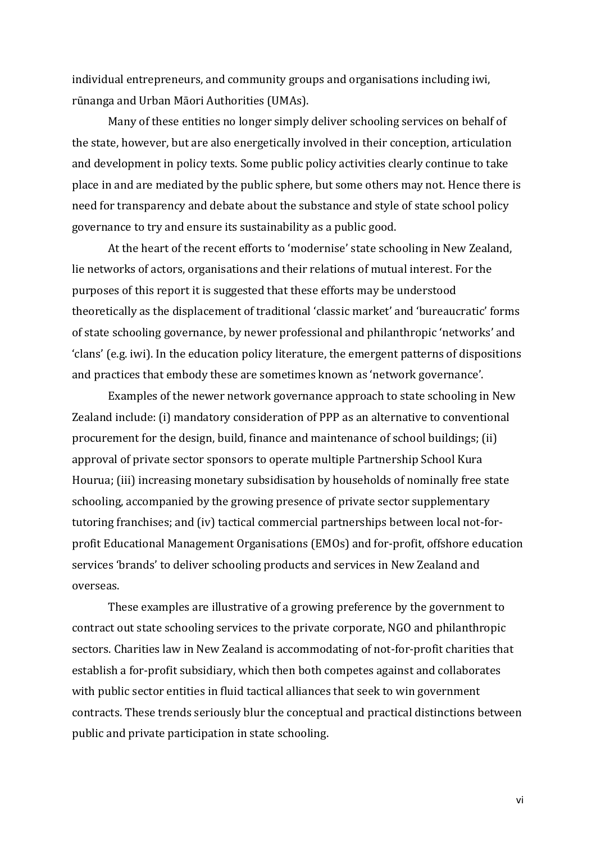individual entrepreneurs, and community groups and organisations including iwi, rūnanga and Urban Māori Authorities (UMAs).

Many of these entities no longer simply deliver schooling services on behalf of the state, however, but are also energetically involved in their conception, articulation and development in policy texts. Some public policy activities clearly continue to take place in and are mediated by the public sphere, but some others may not. Hence there is need for transparency and debate about the substance and style of state school policy governance to try and ensure its sustainability as a public good.

At the heart of the recent efforts to 'modernise' state schooling in New Zealand, lie networks of actors, organisations and their relations of mutual interest. For the purposes of this report it is suggested that these efforts may be understood theoretically as the displacement of traditional 'classic market' and 'bureaucratic' forms of state schooling governance, by newer professional and philanthropic 'networks' and 'clans' (e.g. iwi). In the education policy literature, the emergent patterns of dispositions and practices that embody these are sometimes known as 'network governance'.

Examples of the newer network governance approach to state schooling in New Zealand include: (i) mandatory consideration of PPP as an alternative to conventional procurement for the design, build, finance and maintenance of school buildings; (ii) approval of private sector sponsors to operate multiple Partnership School Kura Hourua; (iii) increasing monetary subsidisation by households of nominally free state schooling, accompanied by the growing presence of private sector supplementary tutoring franchises; and (iv) tactical commercial partnerships between local not-forprofit Educational Management Organisations (EMOs) and for-profit, offshore education services 'brands' to deliver schooling products and services in New Zealand and overseas.

These examples are illustrative of a growing preference by the government to contract out state schooling services to the private corporate, NGO and philanthropic sectors. Charities law in New Zealand is accommodating of not-for-profit charities that establish a for-profit subsidiary, which then both competes against and collaborates with public sector entities in fluid tactical alliances that seek to win government contracts. These trends seriously blur the conceptual and practical distinctions between public and private participation in state schooling.

vi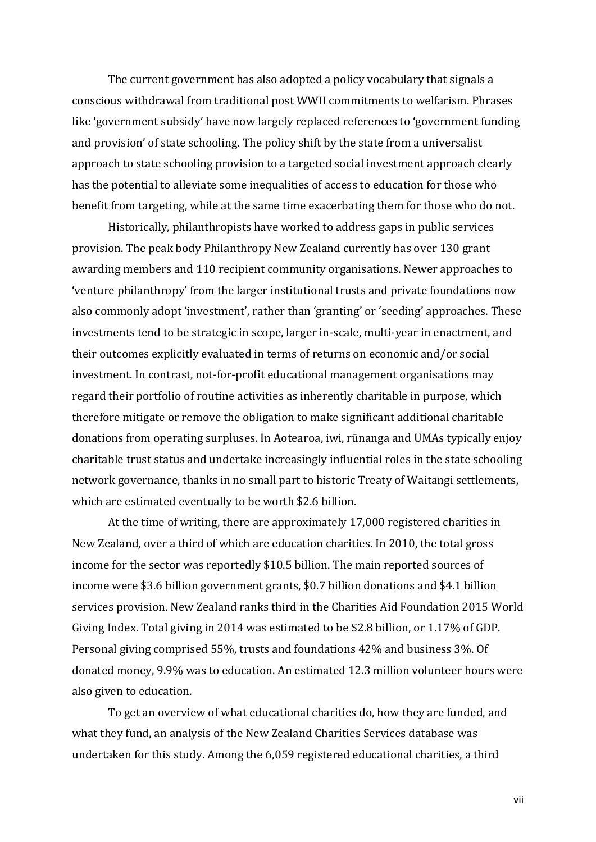The current government has also adopted a policy vocabulary that signals a conscious withdrawal from traditional post WWII commitments to welfarism. Phrases like 'government subsidy' have now largely replaced references to 'government funding and provision' of state schooling. The policy shift by the state from a universalist approach to state schooling provision to a targeted social investment approach clearly has the potential to alleviate some inequalities of access to education for those who benefit from targeting, while at the same time exacerbating them for those who do not.

Historically, philanthropists have worked to address gaps in public services provision. The peak body Philanthropy New Zealand currently has over 130 grant awarding members and 110 recipient community organisations. Newer approaches to 'venture philanthropy' from the larger institutional trusts and private foundations now also commonly adopt 'investment', rather than 'granting' or 'seeding' approaches. These investments tend to be strategic in scope, larger in-scale, multi-year in enactment, and their outcomes explicitly evaluated in terms of returns on economic and/or social investment. In contrast, not-for-profit educational management organisations may regard their portfolio of routine activities as inherently charitable in purpose, which therefore mitigate or remove the obligation to make significant additional charitable donations from operating surpluses. In Aotearoa, iwi, rūnanga and UMAs typically enjoy charitable trust status and undertake increasingly influential roles in the state schooling network governance, thanks in no small part to historic Treaty of Waitangi settlements, which are estimated eventually to be worth \$2.6 billion.

At the time of writing, there are approximately 17,000 registered charities in New Zealand, over a third of which are education charities. In 2010, the total gross income for the sector was reportedly \$10.5 billion. The main reported sources of income were \$3.6 billion government grants, \$0.7 billion donations and \$4.1 billion services provision. New Zealand ranks third in the Charities Aid Foundation 2015 World Giving Index. Total giving in 2014 was estimated to be \$2.8 billion, or 1.17% of GDP. Personal giving comprised 55%, trusts and foundations 42% and business 3%. Of donated money, 9.9% was to education. An estimated 12.3 million volunteer hours were also given to education.

To get an overview of what educational charities do, how they are funded, and what they fund, an analysis of the New Zealand Charities Services database was undertaken for this study. Among the 6,059 registered educational charities, a third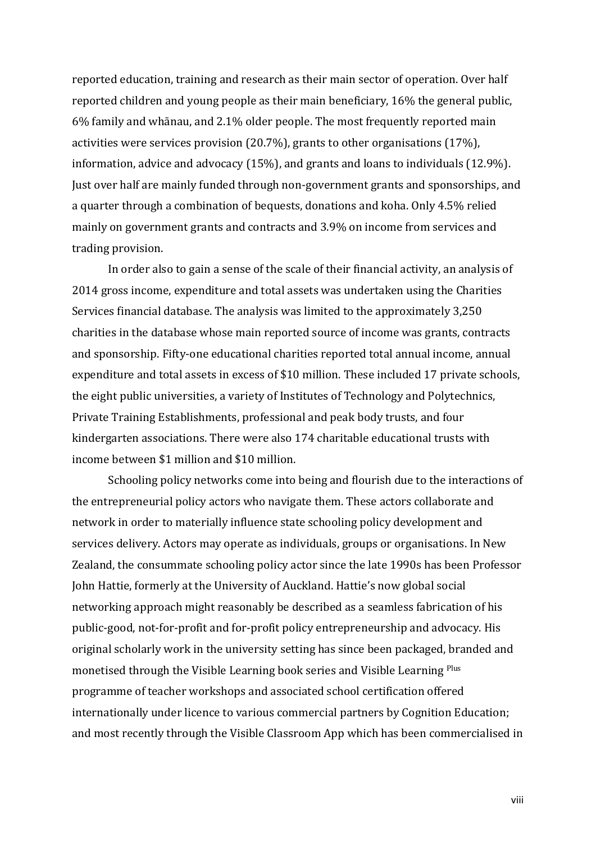reported education, training and research as their main sector of operation. Over half reported children and young people as their main beneficiary, 16% the general public, 6% family and whānau, and 2.1% older people. The most frequently reported main activities were services provision (20.7%), grants to other organisations (17%), information, advice and advocacy (15%), and grants and loans to individuals (12.9%). Just over half are mainly funded through non-government grants and sponsorships, and a quarter through a combination of bequests, donations and koha. Only 4.5% relied mainly on government grants and contracts and 3.9% on income from services and trading provision.

In order also to gain a sense of the scale of their financial activity, an analysis of 2014 gross income, expenditure and total assets was undertaken using the Charities Services financial database. The analysis was limited to the approximately 3,250 charities in the database whose main reported source of income was grants, contracts and sponsorship. Fifty-one educational charities reported total annual income, annual expenditure and total assets in excess of \$10 million. These included 17 private schools, the eight public universities, a variety of Institutes of Technology and Polytechnics, Private Training Establishments, professional and peak body trusts, and four kindergarten associations. There were also 174 charitable educational trusts with income between \$1 million and \$10 million.

Schooling policy networks come into being and flourish due to the interactions of the entrepreneurial policy actors who navigate them. These actors collaborate and network in order to materially influence state schooling policy development and services delivery. Actors may operate as individuals, groups or organisations. In New Zealand, the consummate schooling policy actor since the late 1990s has been Professor John Hattie, formerly at the University of Auckland. Hattie's now global social networking approach might reasonably be described as a seamless fabrication of his public-good, not-for-profit and for-profit policy entrepreneurship and advocacy. His original scholarly work in the university setting has since been packaged, branded and monetised through the Visible Learning book series and Visible Learning Plus programme of teacher workshops and associated school certification offered internationally under licence to various commercial partners by Cognition Education; and most recently through the Visible Classroom App which has been commercialised in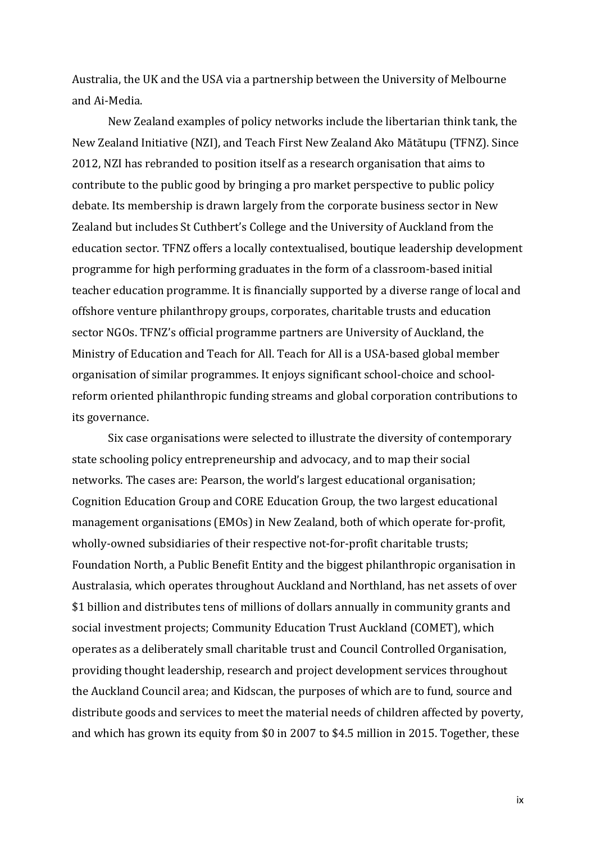Australia, the UK and the USA via a partnership between the University of Melbourne and Ai-Media.

New Zealand examples of policy networks include the libertarian think tank, the New Zealand Initiative (NZI), and Teach First New Zealand Ako Mātātupu (TFNZ). Since 2012, NZI has rebranded to position itself as a research organisation that aims to contribute to the public good by bringing a pro market perspective to public policy debate. Its membership is drawn largely from the corporate business sector in New Zealand but includes St Cuthbert's College and the University of Auckland from the education sector. TFNZ offers a locally contextualised, boutique leadership development programme for high performing graduates in the form of a classroom-based initial teacher education programme. It is financially supported by a diverse range of local and offshore venture philanthropy groups, corporates, charitable trusts and education sector NGOs. TFNZ's official programme partners are University of Auckland, the Ministry of Education and Teach for All. Teach for All is a USA-based global member organisation of similar programmes. It enjoys significant school-choice and schoolreform oriented philanthropic funding streams and global corporation contributions to its governance.

Six case organisations were selected to illustrate the diversity of contemporary state schooling policy entrepreneurship and advocacy, and to map their social networks. The cases are: Pearson, the world's largest educational organisation; Cognition Education Group and CORE Education Group, the two largest educational management organisations (EMOs) in New Zealand, both of which operate for-profit, wholly-owned subsidiaries of their respective not-for-profit charitable trusts; Foundation North, a Public Benefit Entity and the biggest philanthropic organisation in Australasia, which operates throughout Auckland and Northland, has net assets of over \$1 billion and distributes tens of millions of dollars annually in community grants and social investment projects; Community Education Trust Auckland (COMET), which operates as a deliberately small charitable trust and Council Controlled Organisation, providing thought leadership, research and project development services throughout the Auckland Council area; and Kidscan, the purposes of which are to fund, source and distribute goods and services to meet the material needs of children affected by poverty, and which has grown its equity from \$0 in 2007 to \$4.5 million in 2015. Together, these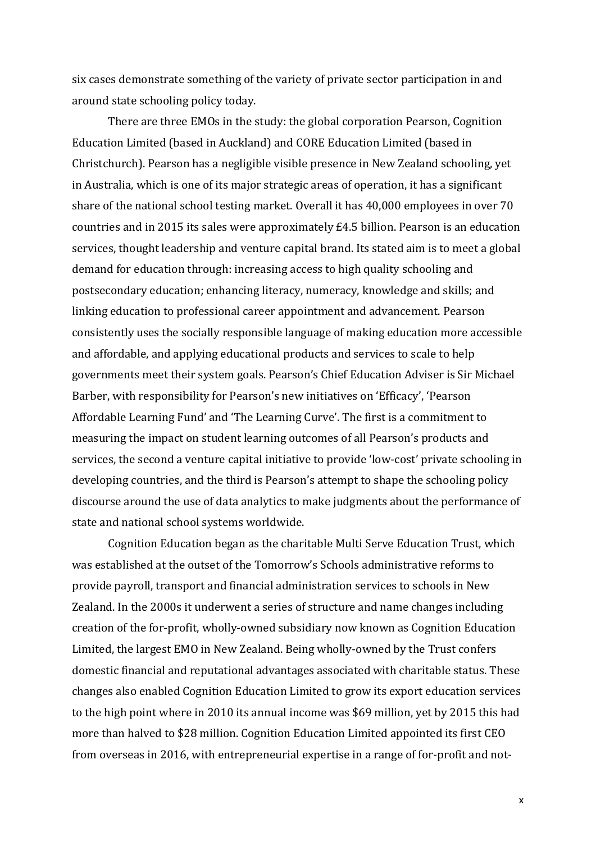six cases demonstrate something of the variety of private sector participation in and around state schooling policy today.

There are three EMOs in the study: the global corporation Pearson, Cognition Education Limited (based in Auckland) and CORE Education Limited (based in Christchurch). Pearson has a negligible visible presence in New Zealand schooling, yet in Australia, which is one of its major strategic areas of operation, it has a significant share of the national school testing market. Overall it has 40,000 employees in over 70 countries and in 2015 its sales were approximately £4.5 billion. Pearson is an education services, thought leadership and venture capital brand. Its stated aim is to meet a global demand for education through: increasing access to high quality schooling and postsecondary education; enhancing literacy, numeracy, knowledge and skills; and linking education to professional career appointment and advancement. Pearson consistently uses the socially responsible language of making education more accessible and affordable, and applying educational products and services to scale to help governments meet their system goals. Pearson's Chief Education Adviser is Sir Michael Barber, with responsibility for Pearson's new initiatives on 'Efficacy', 'Pearson Affordable Learning Fund' and 'The Learning Curve'. The first is a commitment to measuring the impact on student learning outcomes of all Pearson's products and services, the second a venture capital initiative to provide 'low-cost' private schooling in developing countries, and the third is Pearson's attempt to shape the schooling policy discourse around the use of data analytics to make judgments about the performance of state and national school systems worldwide.

Cognition Education began as the charitable Multi Serve Education Trust, which was established at the outset of the Tomorrow's Schools administrative reforms to provide payroll, transport and financial administration services to schools in New Zealand. In the 2000s it underwent a series of structure and name changes including creation of the for-profit, wholly-owned subsidiary now known as Cognition Education Limited, the largest EMO in New Zealand. Being wholly-owned by the Trust confers domestic financial and reputational advantages associated with charitable status. These changes also enabled Cognition Education Limited to grow its export education services to the high point where in 2010 its annual income was \$69 million, yet by 2015 this had more than halved to \$28 million. Cognition Education Limited appointed its first CEO from overseas in 2016, with entrepreneurial expertise in a range of for-profit and not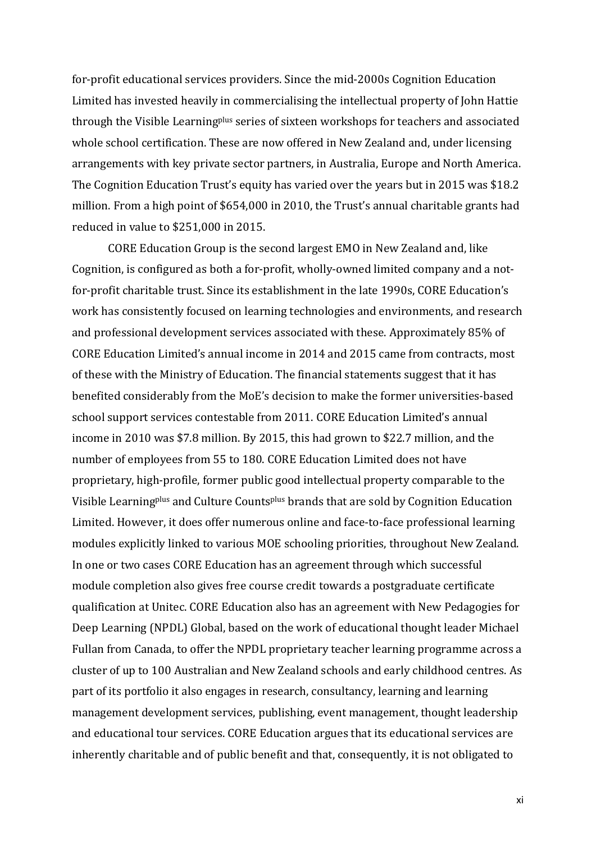for-profit educational services providers. Since the mid-2000s Cognition Education Limited has invested heavily in commercialising the intellectual property of John Hattie through the Visible Learningplus series of sixteen workshops for teachers and associated whole school certification. These are now offered in New Zealand and, under licensing arrangements with key private sector partners, in Australia, Europe and North America. The Cognition Education Trust's equity has varied over the years but in 2015 was \$18.2 million. From a high point of \$654,000 in 2010, the Trust's annual charitable grants had reduced in value to \$251,000 in 2015.

CORE Education Group is the second largest EMO in New Zealand and, like Cognition, is configured as both a for-profit, wholly-owned limited company and a notfor-profit charitable trust. Since its establishment in the late 1990s, CORE Education's work has consistently focused on learning technologies and environments, and research and professional development services associated with these. Approximately 85% of CORE Education Limited's annual income in 2014 and 2015 came from contracts, most of these with the Ministry of Education. The financial statements suggest that it has benefited considerably from the MoE's decision to make the former universities-based school support services contestable from 2011. CORE Education Limited's annual income in 2010 was \$7.8 million. By 2015, this had grown to \$22.7 million, and the number of employees from 55 to 180. CORE Education Limited does not have proprietary, high-profile, former public good intellectual property comparable to the Visible Learningplus and Culture Countsplus brands that are sold by Cognition Education Limited. However, it does offer numerous online and face-to-face professional learning modules explicitly linked to various MOE schooling priorities, throughout New Zealand. In one or two cases CORE Education has an agreement through which successful module completion also gives free course credit towards a postgraduate certificate qualification at Unitec. CORE Education also has an agreement with New Pedagogies for Deep Learning (NPDL) Global, based on the work of educational thought leader Michael Fullan from Canada, to offer the NPDL proprietary teacher learning programme across a cluster of up to 100 Australian and New Zealand schools and early childhood centres. As part of its portfolio it also engages in research, consultancy, learning and learning management development services, publishing, event management, thought leadership and educational tour services. CORE Education argues that its educational services are inherently charitable and of public benefit and that, consequently, it is not obligated to

xi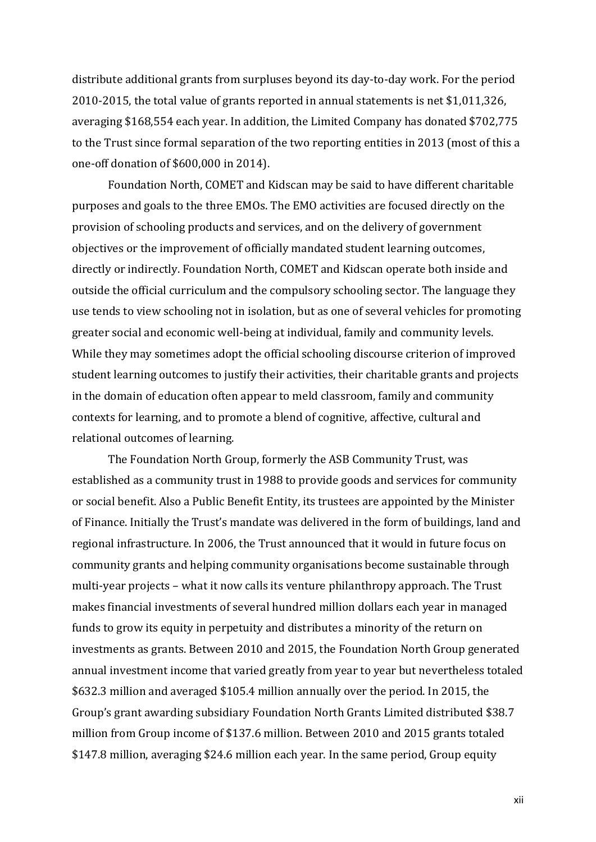distribute additional grants from surpluses beyond its day-to-day work. For the period 2010-2015, the total value of grants reported in annual statements is net \$1,011,326, averaging \$168,554 each year. In addition, the Limited Company has donated \$702,775 to the Trust since formal separation of the two reporting entities in 2013 (most of this a one-off donation of \$600,000 in 2014).

Foundation North, COMET and Kidscan may be said to have different charitable purposes and goals to the three EMOs. The EMO activities are focused directly on the provision of schooling products and services, and on the delivery of government objectives or the improvement of officially mandated student learning outcomes, directly or indirectly. Foundation North, COMET and Kidscan operate both inside and outside the official curriculum and the compulsory schooling sector. The language they use tends to view schooling not in isolation, but as one of several vehicles for promoting greater social and economic well-being at individual, family and community levels. While they may sometimes adopt the official schooling discourse criterion of improved student learning outcomes to justify their activities, their charitable grants and projects in the domain of education often appear to meld classroom, family and community contexts for learning, and to promote a blend of cognitive, affective, cultural and relational outcomes of learning.

The Foundation North Group, formerly the ASB Community Trust, was established as a community trust in 1988 to provide goods and services for community or social benefit. Also a Public Benefit Entity, its trustees are appointed by the Minister of Finance. Initially the Trust's mandate was delivered in the form of buildings, land and regional infrastructure. In 2006, the Trust announced that it would in future focus on community grants and helping community organisations become sustainable through multi-year projects – what it now calls its venture philanthropy approach. The Trust makes financial investments of several hundred million dollars each year in managed funds to grow its equity in perpetuity and distributes a minority of the return on investments as grants. Between 2010 and 2015, the Foundation North Group generated annual investment income that varied greatly from year to year but nevertheless totaled \$632.3 million and averaged \$105.4 million annually over the period. In 2015, the Group's grant awarding subsidiary Foundation North Grants Limited distributed \$38.7 million from Group income of \$137.6 million. Between 2010 and 2015 grants totaled \$147.8 million, averaging \$24.6 million each year. In the same period, Group equity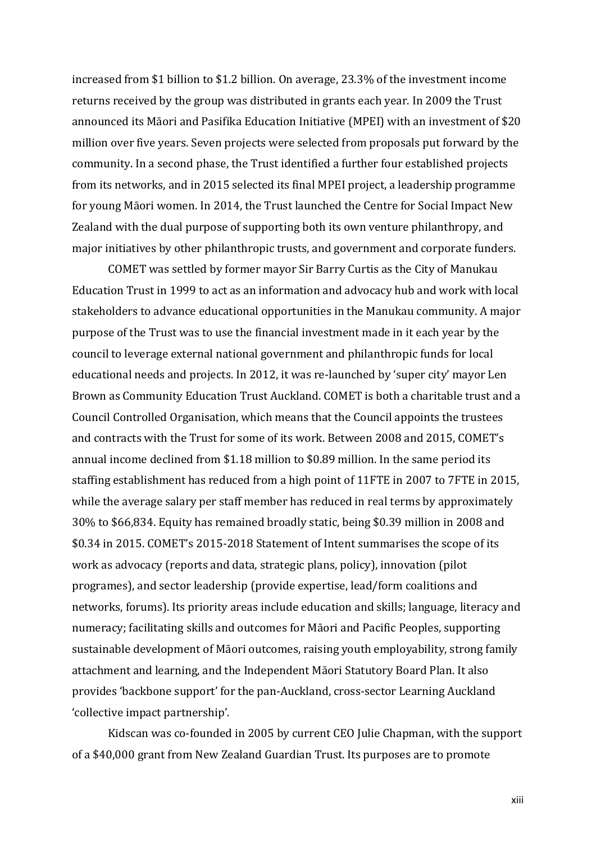increased from \$1 billion to \$1.2 billion. On average, 23.3% of the investment income returns received by the group was distributed in grants each year. In 2009 the Trust announced its Māori and Pasifika Education Initiative (MPEI) with an investment of \$20 million over five years. Seven projects were selected from proposals put forward by the community. In a second phase, the Trust identified a further four established projects from its networks, and in 2015 selected its final MPEI project, a leadership programme for young Māori women. In 2014, the Trust launched the Centre for Social Impact New Zealand with the dual purpose of supporting both its own venture philanthropy, and major initiatives by other philanthropic trusts, and government and corporate funders.

COMET was settled by former mayor Sir Barry Curtis as the City of Manukau Education Trust in 1999 to act as an information and advocacy hub and work with local stakeholders to advance educational opportunities in the Manukau community. A major purpose of the Trust was to use the financial investment made in it each year by the council to leverage external national government and philanthropic funds for local educational needs and projects. In 2012, it was re-launched by 'super city' mayor Len Brown as Community Education Trust Auckland. COMET is both a charitable trust and a Council Controlled Organisation, which means that the Council appoints the trustees and contracts with the Trust for some of its work. Between 2008 and 2015, COMET's annual income declined from \$1.18 million to \$0.89 million. In the same period its staffing establishment has reduced from a high point of 11FTE in 2007 to 7FTE in 2015, while the average salary per staff member has reduced in real terms by approximately 30% to \$66,834. Equity has remained broadly static, being \$0.39 million in 2008 and \$0.34 in 2015. COMET's 2015-2018 Statement of Intent summarises the scope of its work as advocacy (reports and data, strategic plans, policy), innovation (pilot programes), and sector leadership (provide expertise, lead/form coalitions and networks, forums). Its priority areas include education and skills; language, literacy and numeracy; facilitating skills and outcomes for Māori and Pacific Peoples, supporting sustainable development of Māori outcomes, raising youth employability, strong family attachment and learning, and the Independent Māori Statutory Board Plan. It also provides 'backbone support' for the pan-Auckland, cross-sector Learning Auckland 'collective impact partnership'.

Kidscan was co-founded in 2005 by current CEO Julie Chapman, with the support of a \$40,000 grant from New Zealand Guardian Trust. Its purposes are to promote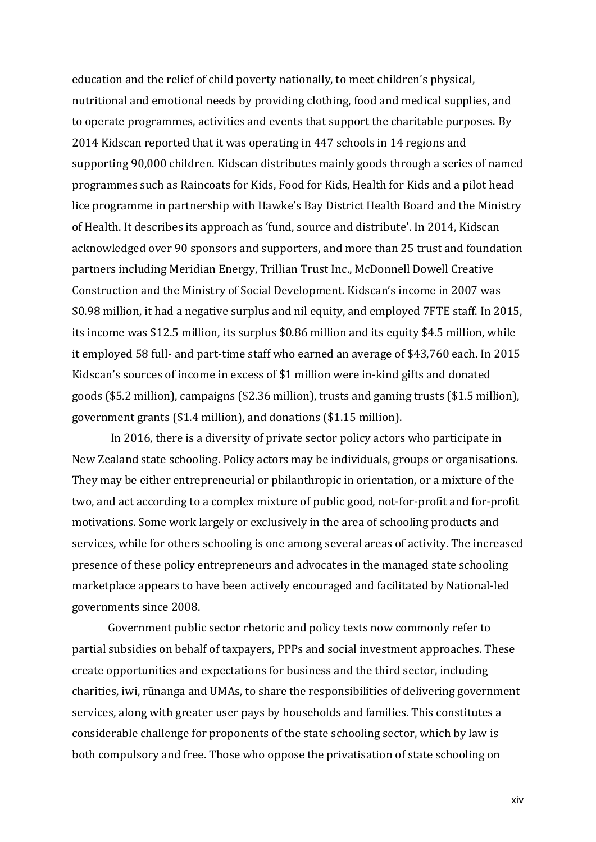education and the relief of child poverty nationally, to meet children's physical, nutritional and emotional needs by providing clothing, food and medical supplies, and to operate programmes, activities and events that support the charitable purposes. By 2014 Kidscan reported that it was operating in 447 schools in 14 regions and supporting 90,000 children. Kidscan distributes mainly goods through a series of named programmes such as Raincoats for Kids, Food for Kids, Health for Kids and a pilot head lice programme in partnership with Hawke's Bay District Health Board and the Ministry of Health. It describes its approach as 'fund, source and distribute'. In 2014, Kidscan acknowledged over 90 sponsors and supporters, and more than 25 trust and foundation partners including Meridian Energy, Trillian Trust Inc., McDonnell Dowell Creative Construction and the Ministry of Social Development. Kidscan's income in 2007 was \$0.98 million, it had a negative surplus and nil equity, and employed 7FTE staff. In 2015, its income was \$12.5 million, its surplus \$0.86 million and its equity \$4.5 million, while it employed 58 full- and part-time staff who earned an average of \$43,760 each. In 2015 Kidscan's sources of income in excess of \$1 million were in-kind gifts and donated goods (\$5.2 million), campaigns (\$2.36 million), trusts and gaming trusts (\$1.5 million), government grants (\$1.4 million), and donations (\$1.15 million).

In 2016, there is a diversity of private sector policy actors who participate in New Zealand state schooling. Policy actors may be individuals, groups or organisations. They may be either entrepreneurial or philanthropic in orientation, or a mixture of the two, and act according to a complex mixture of public good, not-for-profit and for-profit motivations. Some work largely or exclusively in the area of schooling products and services, while for others schooling is one among several areas of activity. The increased presence of these policy entrepreneurs and advocates in the managed state schooling marketplace appears to have been actively encouraged and facilitated by National-led governments since 2008.

Government public sector rhetoric and policy texts now commonly refer to partial subsidies on behalf of taxpayers, PPPs and social investment approaches. These create opportunities and expectations for business and the third sector, including charities, iwi, rūnanga and UMAs, to share the responsibilities of delivering government services, along with greater user pays by households and families. This constitutes a considerable challenge for proponents of the state schooling sector, which by law is both compulsory and free. Those who oppose the privatisation of state schooling on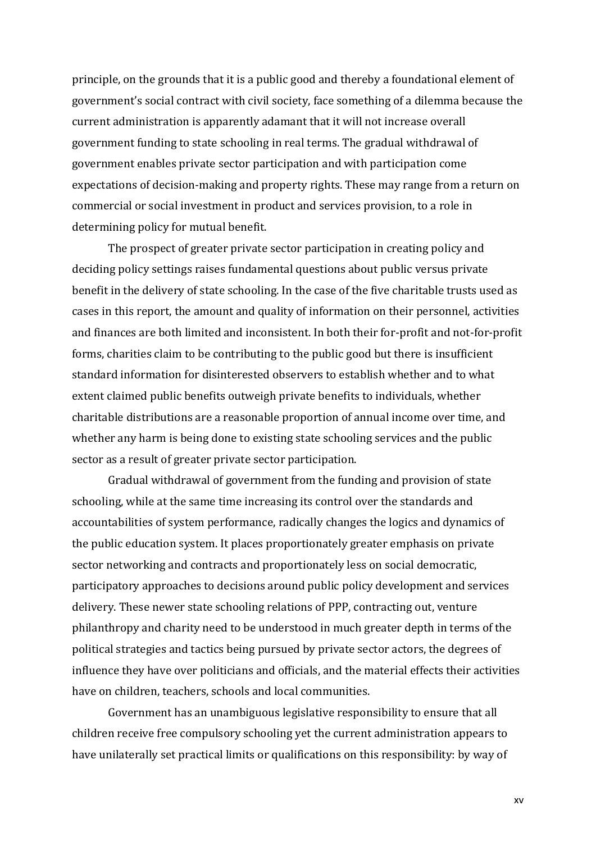principle, on the grounds that it is a public good and thereby a foundational element of government's social contract with civil society, face something of a dilemma because the current administration is apparently adamant that it will not increase overall government funding to state schooling in real terms. The gradual withdrawal of government enables private sector participation and with participation come expectations of decision-making and property rights. These may range from a return on commercial or social investment in product and services provision, to a role in determining policy for mutual benefit.

The prospect of greater private sector participation in creating policy and deciding policy settings raises fundamental questions about public versus private benefit in the delivery of state schooling. In the case of the five charitable trusts used as cases in this report, the amount and quality of information on their personnel, activities and finances are both limited and inconsistent. In both their for-profit and not-for-profit forms, charities claim to be contributing to the public good but there is insufficient standard information for disinterested observers to establish whether and to what extent claimed public benefits outweigh private benefits to individuals, whether charitable distributions are a reasonable proportion of annual income over time, and whether any harm is being done to existing state schooling services and the public sector as a result of greater private sector participation.

Gradual withdrawal of government from the funding and provision of state schooling, while at the same time increasing its control over the standards and accountabilities of system performance, radically changes the logics and dynamics of the public education system. It places proportionately greater emphasis on private sector networking and contracts and proportionately less on social democratic, participatory approaches to decisions around public policy development and services delivery. These newer state schooling relations of PPP, contracting out, venture philanthropy and charity need to be understood in much greater depth in terms of the political strategies and tactics being pursued by private sector actors, the degrees of influence they have over politicians and officials, and the material effects their activities have on children, teachers, schools and local communities.

Government has an unambiguous legislative responsibility to ensure that all children receive free compulsory schooling yet the current administration appears to have unilaterally set practical limits or qualifications on this responsibility: by way of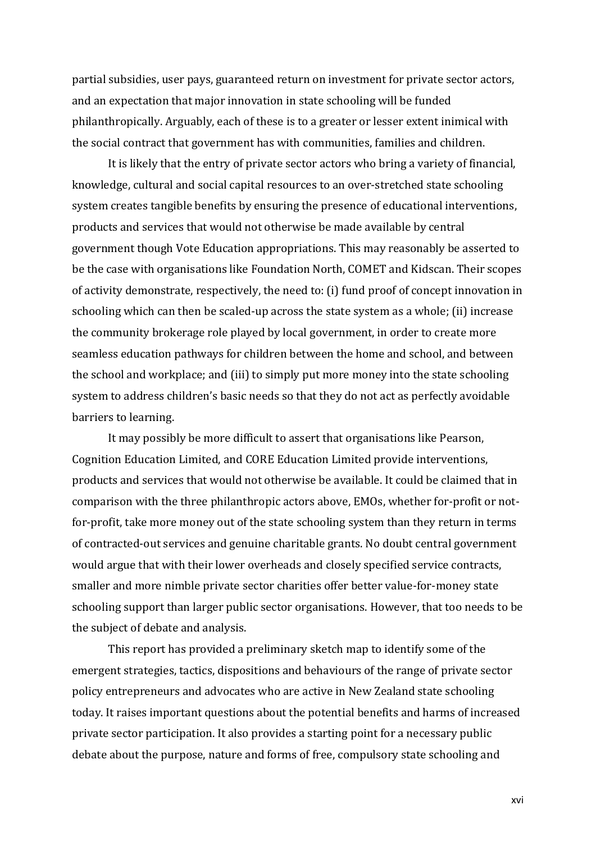partial subsidies, user pays, guaranteed return on investment for private sector actors, and an expectation that major innovation in state schooling will be funded philanthropically. Arguably, each of these is to a greater or lesser extent inimical with the social contract that government has with communities, families and children.

It is likely that the entry of private sector actors who bring a variety of financial, knowledge, cultural and social capital resources to an over-stretched state schooling system creates tangible benefits by ensuring the presence of educational interventions, products and services that would not otherwise be made available by central government though Vote Education appropriations. This may reasonably be asserted to be the case with organisations like Foundation North, COMET and Kidscan. Their scopes of activity demonstrate, respectively, the need to: (i) fund proof of concept innovation in schooling which can then be scaled-up across the state system as a whole; (ii) increase the community brokerage role played by local government, in order to create more seamless education pathways for children between the home and school, and between the school and workplace; and (iii) to simply put more money into the state schooling system to address children's basic needs so that they do not act as perfectly avoidable barriers to learning.

It may possibly be more difficult to assert that organisations like Pearson, Cognition Education Limited, and CORE Education Limited provide interventions, products and services that would not otherwise be available. It could be claimed that in comparison with the three philanthropic actors above, EMOs, whether for-profit or notfor-profit, take more money out of the state schooling system than they return in terms of contracted-out services and genuine charitable grants. No doubt central government would argue that with their lower overheads and closely specified service contracts, smaller and more nimble private sector charities offer better value-for-money state schooling support than larger public sector organisations. However, that too needs to be the subject of debate and analysis.

This report has provided a preliminary sketch map to identify some of the emergent strategies, tactics, dispositions and behaviours of the range of private sector policy entrepreneurs and advocates who are active in New Zealand state schooling today. It raises important questions about the potential benefits and harms of increased private sector participation. It also provides a starting point for a necessary public debate about the purpose, nature and forms of free, compulsory state schooling and